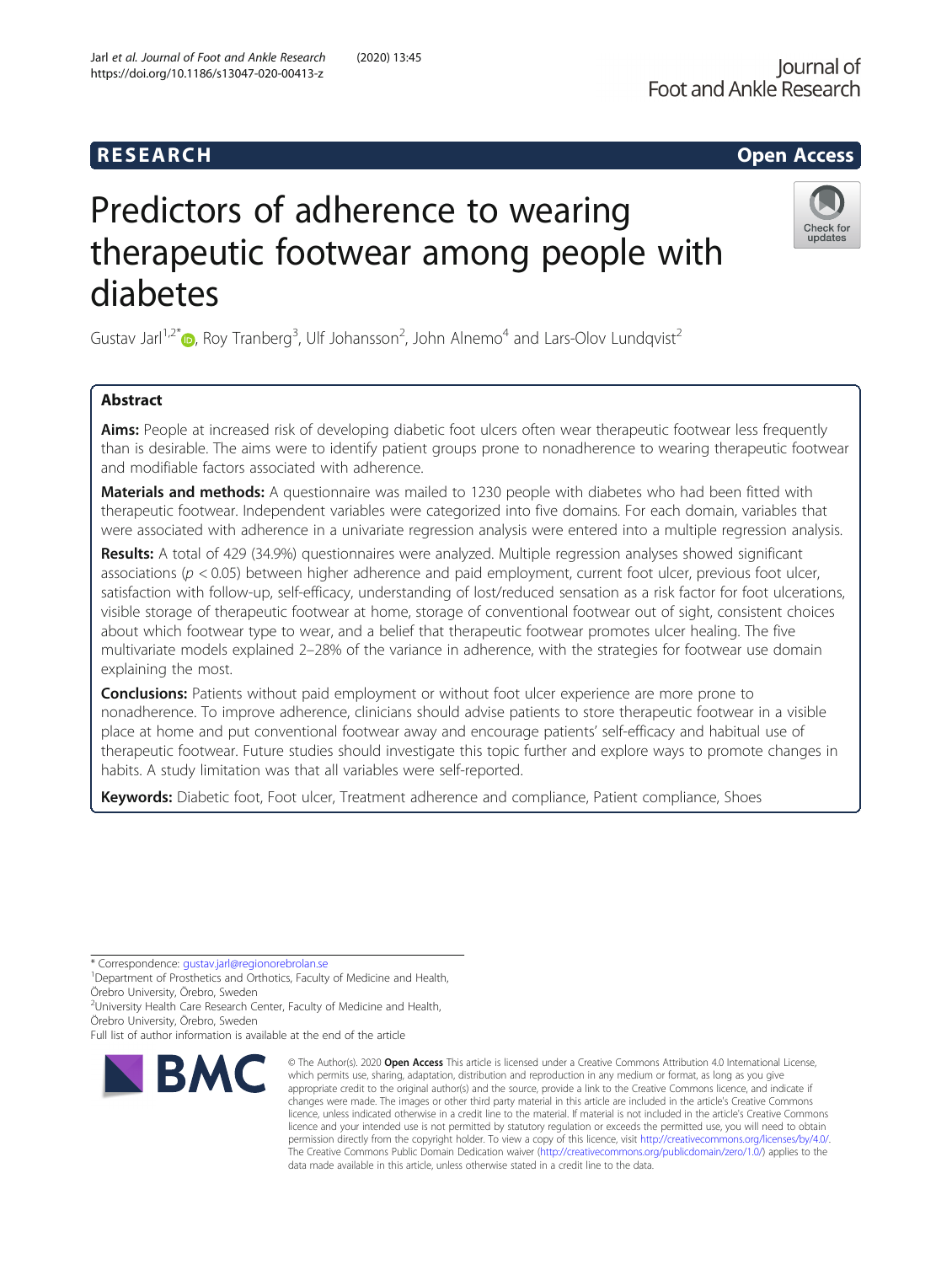## R E S EAR CH Open Access

# Predictors of adherence to wearing therapeutic footwear among people with diabetes

Gustav Jarl<sup>1,2[\\*](http://orcid.org/0000-0002-6410-2474)</sup> $\bullet$ , Roy Tranberg<sup>3</sup>, Ulf Johansson<sup>2</sup>, John Alnemo<sup>4</sup> and Lars-Olov Lundqvist<sup>2</sup>

## Abstract

Aims: People at increased risk of developing diabetic foot ulcers often wear therapeutic footwear less frequently than is desirable. The aims were to identify patient groups prone to nonadherence to wearing therapeutic footwear and modifiable factors associated with adherence.

Materials and methods: A questionnaire was mailed to 1230 people with diabetes who had been fitted with therapeutic footwear. Independent variables were categorized into five domains. For each domain, variables that were associated with adherence in a univariate regression analysis were entered into a multiple regression analysis.

Results: A total of 429 (34.9%) questionnaires were analyzed. Multiple regression analyses showed significant associations ( $p < 0.05$ ) between higher adherence and paid employment, current foot ulcer, previous foot ulcer, satisfaction with follow-up, self-efficacy, understanding of lost/reduced sensation as a risk factor for foot ulcerations, visible storage of therapeutic footwear at home, storage of conventional footwear out of sight, consistent choices about which footwear type to wear, and a belief that therapeutic footwear promotes ulcer healing. The five multivariate models explained 2–28% of the variance in adherence, with the strategies for footwear use domain explaining the most.

**Conclusions:** Patients without paid employment or without foot ulcer experience are more prone to nonadherence. To improve adherence, clinicians should advise patients to store therapeutic footwear in a visible place at home and put conventional footwear away and encourage patients' self-efficacy and habitual use of therapeutic footwear. Future studies should investigate this topic further and explore ways to promote changes in habits. A study limitation was that all variables were self-reported.

Keywords: Diabetic foot, Foot ulcer, Treatment adherence and compliance, Patient compliance, Shoes

\* Correspondence: [gustav.jarl@regionorebrolan.se](mailto:gustav.jarl@regionorebrolan.se) <sup>1</sup>

<sup>1</sup> Department of Prosthetics and Orthotics, Faculty of Medicine and Health, Örebro University, Örebro, Sweden

<sup>2</sup>University Health Care Research Center, Faculty of Medicine and Health, Örebro University, Örebro, Sweden





Full list of author information is available at the end of the article

<sup>©</sup> The Author(s), 2020 **Open Access** This article is licensed under a Creative Commons Attribution 4.0 International License, which permits use, sharing, adaptation, distribution and reproduction in any medium or format, as long as you give appropriate credit to the original author(s) and the source, provide a link to the Creative Commons licence, and indicate if changes were made. The images or other third party material in this article are included in the article's Creative Commons licence, unless indicated otherwise in a credit line to the material. If material is not included in the article's Creative Commons licence and your intended use is not permitted by statutory regulation or exceeds the permitted use, you will need to obtain permission directly from the copyright holder. To view a copy of this licence, visit [http://creativecommons.org/licenses/by/4.0/.](http://creativecommons.org/licenses/by/4.0/) The Creative Commons Public Domain Dedication waiver [\(http://creativecommons.org/publicdomain/zero/1.0/](http://creativecommons.org/publicdomain/zero/1.0/)) applies to the data made available in this article, unless otherwise stated in a credit line to the data.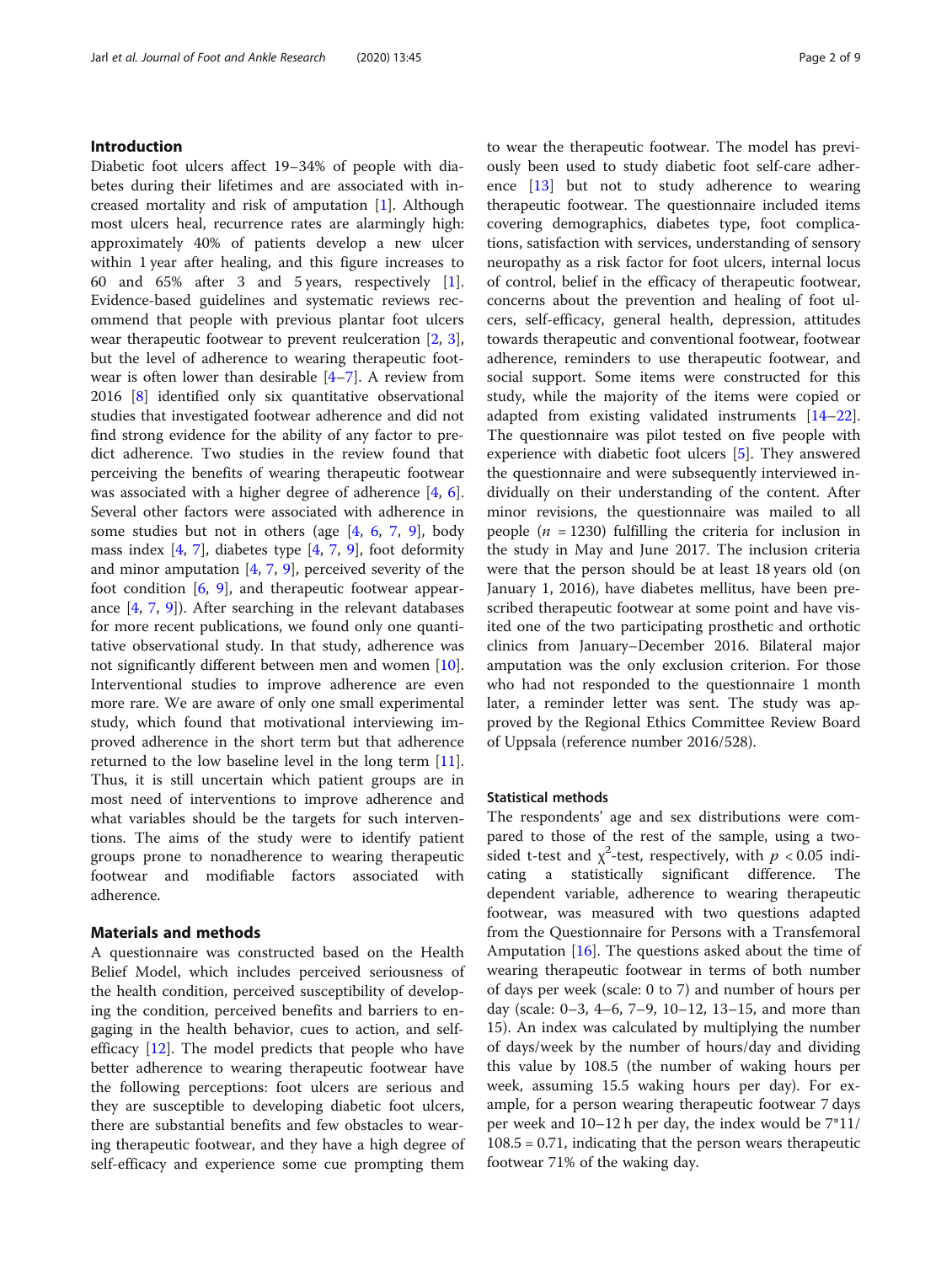## Introduction

Diabetic foot ulcers affect 19–34% of people with diabetes during their lifetimes and are associated with increased mortality and risk of amputation [[1\]](#page-7-0). Although most ulcers heal, recurrence rates are alarmingly high: approximately 40% of patients develop a new ulcer within 1 year after healing, and this figure increases to 60 and 65% after 3 and 5 years, respectively [\[1](#page-7-0)]. Evidence-based guidelines and systematic reviews recommend that people with previous plantar foot ulcers wear therapeutic footwear to prevent reulceration [[2,](#page-7-0) [3](#page-7-0)], but the level of adherence to wearing therapeutic footwear is often lower than desirable [\[4](#page-7-0)–[7](#page-7-0)]. A review from 2016 [\[8\]](#page-7-0) identified only six quantitative observational studies that investigated footwear adherence and did not find strong evidence for the ability of any factor to predict adherence. Two studies in the review found that perceiving the benefits of wearing therapeutic footwear was associated with a higher degree of adherence [[4,](#page-7-0) [6](#page-7-0)]. Several other factors were associated with adherence in some studies but not in others (age [\[4](#page-7-0), [6,](#page-7-0) [7,](#page-7-0) [9\]](#page-7-0), body mass index  $[4, 7]$  $[4, 7]$  $[4, 7]$  $[4, 7]$ , diabetes type  $[4, 7, 9]$  $[4, 7, 9]$  $[4, 7, 9]$  $[4, 7, 9]$  $[4, 7, 9]$ , foot deformity and minor amputation [\[4](#page-7-0), [7,](#page-7-0) [9\]](#page-7-0), perceived severity of the foot condition [[6,](#page-7-0) [9](#page-7-0)], and therapeutic footwear appearance [\[4](#page-7-0), [7,](#page-7-0) [9](#page-7-0)]). After searching in the relevant databases for more recent publications, we found only one quantitative observational study. In that study, adherence was not significantly different between men and women [\[10](#page-7-0)]. Interventional studies to improve adherence are even more rare. We are aware of only one small experimental study, which found that motivational interviewing improved adherence in the short term but that adherence returned to the low baseline level in the long term [\[11](#page-7-0)]. Thus, it is still uncertain which patient groups are in most need of interventions to improve adherence and what variables should be the targets for such interventions. The aims of the study were to identify patient groups prone to nonadherence to wearing therapeutic footwear and modifiable factors associated with adherence.

## Materials and methods

A questionnaire was constructed based on the Health Belief Model, which includes perceived seriousness of the health condition, perceived susceptibility of developing the condition, perceived benefits and barriers to engaging in the health behavior, cues to action, and selfefficacy [\[12\]](#page-7-0). The model predicts that people who have better adherence to wearing therapeutic footwear have the following perceptions: foot ulcers are serious and they are susceptible to developing diabetic foot ulcers, there are substantial benefits and few obstacles to wearing therapeutic footwear, and they have a high degree of self-efficacy and experience some cue prompting them to wear the therapeutic footwear. The model has previously been used to study diabetic foot self-care adherence [[13\]](#page-7-0) but not to study adherence to wearing therapeutic footwear. The questionnaire included items covering demographics, diabetes type, foot complications, satisfaction with services, understanding of sensory neuropathy as a risk factor for foot ulcers, internal locus of control, belief in the efficacy of therapeutic footwear, concerns about the prevention and healing of foot ulcers, self-efficacy, general health, depression, attitudes towards therapeutic and conventional footwear, footwear adherence, reminders to use therapeutic footwear, and social support. Some items were constructed for this study, while the majority of the items were copied or adapted from existing validated instruments [[14](#page-7-0)–[22](#page-7-0)]. The questionnaire was pilot tested on five people with experience with diabetic foot ulcers [[5](#page-7-0)]. They answered the questionnaire and were subsequently interviewed individually on their understanding of the content. After minor revisions, the questionnaire was mailed to all people ( $n = 1230$ ) fulfilling the criteria for inclusion in the study in May and June 2017. The inclusion criteria were that the person should be at least 18 years old (on January 1, 2016), have diabetes mellitus, have been prescribed therapeutic footwear at some point and have visited one of the two participating prosthetic and orthotic clinics from January–December 2016. Bilateral major amputation was the only exclusion criterion. For those who had not responded to the questionnaire 1 month later, a reminder letter was sent. The study was approved by the Regional Ethics Committee Review Board of Uppsala (reference number 2016/528).

## Statistical methods

The respondents' age and sex distributions were compared to those of the rest of the sample, using a twosided t-test and  $\chi^2$ -test, respectively, with  $p < 0.05$  indicating a statistically significant difference. The dependent variable, adherence to wearing therapeutic footwear, was measured with two questions adapted from the Questionnaire for Persons with a Transfemoral Amputation  $[16]$  $[16]$  $[16]$ . The questions asked about the time of wearing therapeutic footwear in terms of both number of days per week (scale: 0 to 7) and number of hours per day (scale: 0–3, 4–6, 7–9, 10–12, 13–15, and more than 15). An index was calculated by multiplying the number of days/week by the number of hours/day and dividing this value by 108.5 (the number of waking hours per week, assuming 15.5 waking hours per day). For example, for a person wearing therapeutic footwear 7 days per week and 10–12 h per day, the index would be 7\*11/  $108.5 = 0.71$ , indicating that the person wears therapeutic footwear 71% of the waking day.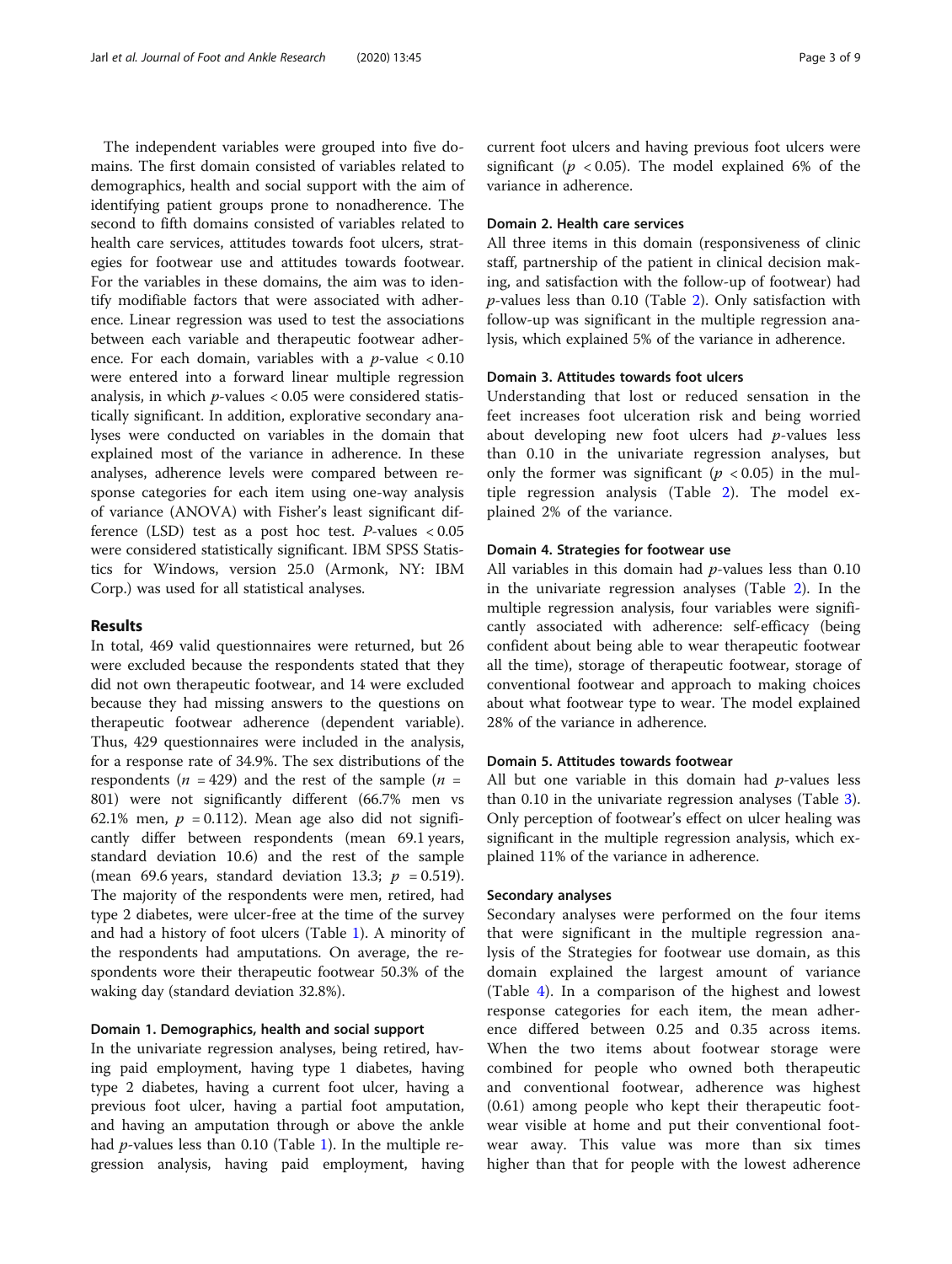The independent variables were grouped into five domains. The first domain consisted of variables related to demographics, health and social support with the aim of identifying patient groups prone to nonadherence. The second to fifth domains consisted of variables related to health care services, attitudes towards foot ulcers, strategies for footwear use and attitudes towards footwear. For the variables in these domains, the aim was to identify modifiable factors that were associated with adherence. Linear regression was used to test the associations between each variable and therapeutic footwear adherence. For each domain, variables with a  $p$ -value  $< 0.10$ were entered into a forward linear multiple regression analysis, in which  $p$ -values < 0.05 were considered statistically significant. In addition, explorative secondary analyses were conducted on variables in the domain that explained most of the variance in adherence. In these analyses, adherence levels were compared between response categories for each item using one-way analysis of variance (ANOVA) with Fisher's least significant difference (LSD) test as a post hoc test. *P*-values  $< 0.05$ were considered statistically significant. IBM SPSS Statistics for Windows, version 25.0 (Armonk, NY: IBM Corp.) was used for all statistical analyses.

## Results

In total, 469 valid questionnaires were returned, but 26 were excluded because the respondents stated that they did not own therapeutic footwear, and 14 were excluded because they had missing answers to the questions on therapeutic footwear adherence (dependent variable). Thus, 429 questionnaires were included in the analysis, for a response rate of 34.9%. The sex distributions of the respondents ( $n = 429$ ) and the rest of the sample ( $n =$ 801) were not significantly different (66.7% men vs 62.1% men,  $p = 0.112$ ). Mean age also did not significantly differ between respondents (mean 69.1 years, standard deviation 10.6) and the rest of the sample (mean 69.6 years, standard deviation 13.3;  $p = 0.519$ ). The majority of the respondents were men, retired, had type 2 diabetes, were ulcer-free at the time of the survey and had a history of foot ulcers (Table [1](#page-3-0)). A minority of the respondents had amputations. On average, the respondents wore their therapeutic footwear 50.3% of the waking day (standard deviation 32.8%).

## Domain 1. Demographics, health and social support

In the univariate regression analyses, being retired, having paid employment, having type 1 diabetes, having type 2 diabetes, having a current foot ulcer, having a previous foot ulcer, having a partial foot amputation, and having an amputation through or above the ankle had  $p$ -values less than 0.[1](#page-3-0)0 (Table 1). In the multiple regression analysis, having paid employment, having current foot ulcers and having previous foot ulcers were significant ( $p < 0.05$ ). The model explained 6% of the variance in adherence.

## Domain 2. Health care services

All three items in this domain (responsiveness of clinic staff, partnership of the patient in clinical decision making, and satisfaction with the follow-up of footwear) had p-values less than 0.10 (Table [2](#page-4-0)). Only satisfaction with follow-up was significant in the multiple regression analysis, which explained 5% of the variance in adherence.

## Domain 3. Attitudes towards foot ulcers

Understanding that lost or reduced sensation in the feet increases foot ulceration risk and being worried about developing new foot ulcers had  $p$ -values less than 0.10 in the univariate regression analyses, but only the former was significant ( $p < 0.05$ ) in the multiple regression analysis (Table [2\)](#page-4-0). The model explained 2% of the variance.

## Domain 4. Strategies for footwear use

All variables in this domain had  $p$ -values less than 0.10 in the univariate regression analyses (Table [2\)](#page-4-0). In the multiple regression analysis, four variables were significantly associated with adherence: self-efficacy (being confident about being able to wear therapeutic footwear all the time), storage of therapeutic footwear, storage of conventional footwear and approach to making choices about what footwear type to wear. The model explained 28% of the variance in adherence.

## Domain 5. Attitudes towards footwear

All but one variable in this domain had  $p$ -values less than 0.10 in the univariate regression analyses (Table [3](#page-5-0)). Only perception of footwear's effect on ulcer healing was significant in the multiple regression analysis, which explained 11% of the variance in adherence.

## Secondary analyses

Secondary analyses were performed on the four items that were significant in the multiple regression analysis of the Strategies for footwear use domain, as this domain explained the largest amount of variance (Table [4](#page-5-0)). In a comparison of the highest and lowest response categories for each item, the mean adherence differed between 0.25 and 0.35 across items. When the two items about footwear storage were combined for people who owned both therapeutic and conventional footwear, adherence was highest (0.61) among people who kept their therapeutic footwear visible at home and put their conventional footwear away. This value was more than six times higher than that for people with the lowest adherence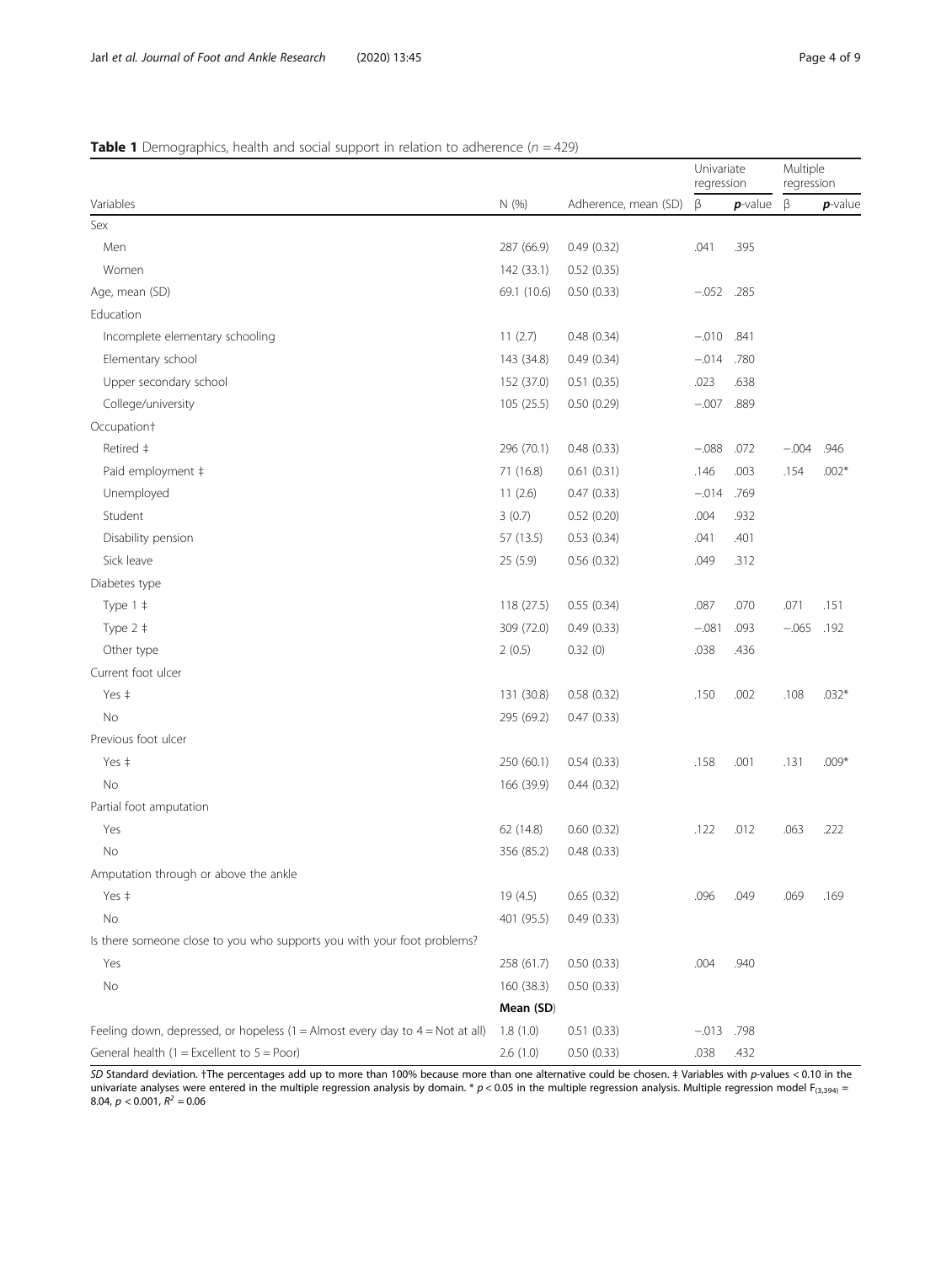## <span id="page-3-0"></span>**Table 1** Demographics, health and social support in relation to adherence ( $n = 429$ )

|                                                                                   |             |                      | Univariate<br>regression |            | Multiple<br>regression |            |
|-----------------------------------------------------------------------------------|-------------|----------------------|--------------------------|------------|------------------------|------------|
| Variables                                                                         |             | Adherence, mean (SD) | β                        | $p$ -value | β                      | $p$ -value |
| Sex                                                                               |             |                      |                          |            |                        |            |
| Men                                                                               | 287 (66.9)  | 0.49(0.32)           | .041                     | .395       |                        |            |
| Women                                                                             | 142 (33.1)  | 0.52(0.35)           |                          |            |                        |            |
| Age, mean (SD)                                                                    | 69.1 (10.6) | 0.50(0.33)           | $-.052$                  | .285       |                        |            |
| Education                                                                         |             |                      |                          |            |                        |            |
| Incomplete elementary schooling                                                   | 11(2.7)     | 0.48(0.34)           | $-.010$                  | .841       |                        |            |
| Elementary school                                                                 | 143 (34.8)  | 0.49(0.34)           | $-.014$                  | .780       |                        |            |
| Upper secondary school                                                            | 152 (37.0)  | 0.51(0.35)           | .023                     | .638       |                        |            |
| College/university                                                                | 105(25.5)   | 0.50(0.29)           | $-.007$                  | .889       |                        |            |
| Occupation <sup>+</sup>                                                           |             |                      |                          |            |                        |            |
| Retired ‡                                                                         | 296 (70.1)  | 0.48(0.33)           | $-.088$                  | .072       | $-.004$                | .946       |
| Paid employment #                                                                 | 71 (16.8)   | 0.61(0.31)           | .146                     | .003       | .154                   | $.002*$    |
| Unemployed                                                                        | 11(2.6)     | 0.47(0.33)           | $-.014$                  | .769       |                        |            |
| Student                                                                           | 3(0.7)      | 0.52(0.20)           | .004                     | .932       |                        |            |
| Disability pension                                                                | 57 (13.5)   | 0.53(0.34)           | .041                     | .401       |                        |            |
| Sick leave                                                                        | 25(5.9)     | 0.56(0.32)           | .049                     | .312       |                        |            |
| Diabetes type                                                                     |             |                      |                          |            |                        |            |
| Type 1 ‡                                                                          | 118 (27.5)  | 0.55(0.34)           | .087                     | .070       | .071                   | .151       |
| Type $2$ $\ddagger$                                                               | 309 (72.0)  | 0.49(0.33)           | $-.081$                  | .093       | $-.065$                | .192       |
| Other type                                                                        | 2(0.5)      | 0.32(0)              | .038                     | .436       |                        |            |
| Current foot ulcer                                                                |             |                      |                          |            |                        |            |
| Yes ‡                                                                             | 131 (30.8)  | 0.58(0.32)           | .150                     | .002       | .108                   | $.032*$    |
| No                                                                                | 295 (69.2)  | 0.47(0.33)           |                          |            |                        |            |
| Previous foot ulcer                                                               |             |                      |                          |            |                        |            |
| Yes ‡                                                                             | 250 (60.1)  | 0.54(0.33)           | .158                     | .001       | .131                   | $.009*$    |
| No                                                                                | 166 (39.9)  | 0.44(0.32)           |                          |            |                        |            |
| Partial foot amputation                                                           |             |                      |                          |            |                        |            |
| Yes                                                                               | 62 (14.8)   | 0.60(0.32)           | .122                     | .012       | .063                   | .222       |
| No                                                                                | 356 (85.2)  | 0.48(0.33)           |                          |            |                        |            |
| Amputation through or above the ankle                                             |             |                      |                          |            |                        |            |
| Yes ‡                                                                             | 19 (4.5)    | 0.65(0.32)           | .096                     | .049       | .069                   | .169       |
| No                                                                                | 401 (95.5)  | 0.49(0.33)           |                          |            |                        |            |
| Is there someone close to you who supports you with your foot problems?           |             |                      |                          |            |                        |            |
| Yes                                                                               | 258 (61.7)  | 0.50(0.33)           | .004                     | .940       |                        |            |
| No                                                                                | 160 (38.3)  | 0.50(0.33)           |                          |            |                        |            |
|                                                                                   | Mean (SD)   |                      |                          |            |                        |            |
| Feeling down, depressed, or hopeless $(1 =$ Almost every day to $4 =$ Not at all) | 1.8(1.0)    | 0.51(0.33)           | $-.013$ .798             |            |                        |            |
| General health $(1 = Excellent to 5 = Poor)$                                      | 2.6(1.0)    | 0.50(0.33)           | .038                     | .432       |                        |            |

SD Standard deviation. †The percentages add up to more than 100% because more than one alternative could be chosen. ‡ Variables with p-values < 0.10 in the univariate analyses were entered in the multiple regression analysis by domain. \*  $p < 0.05$  in the multiple regression analysis. Multiple regression model F<sub>(3,394)</sub> = 8.04,  $p < 0.001, R^2 = 0.06$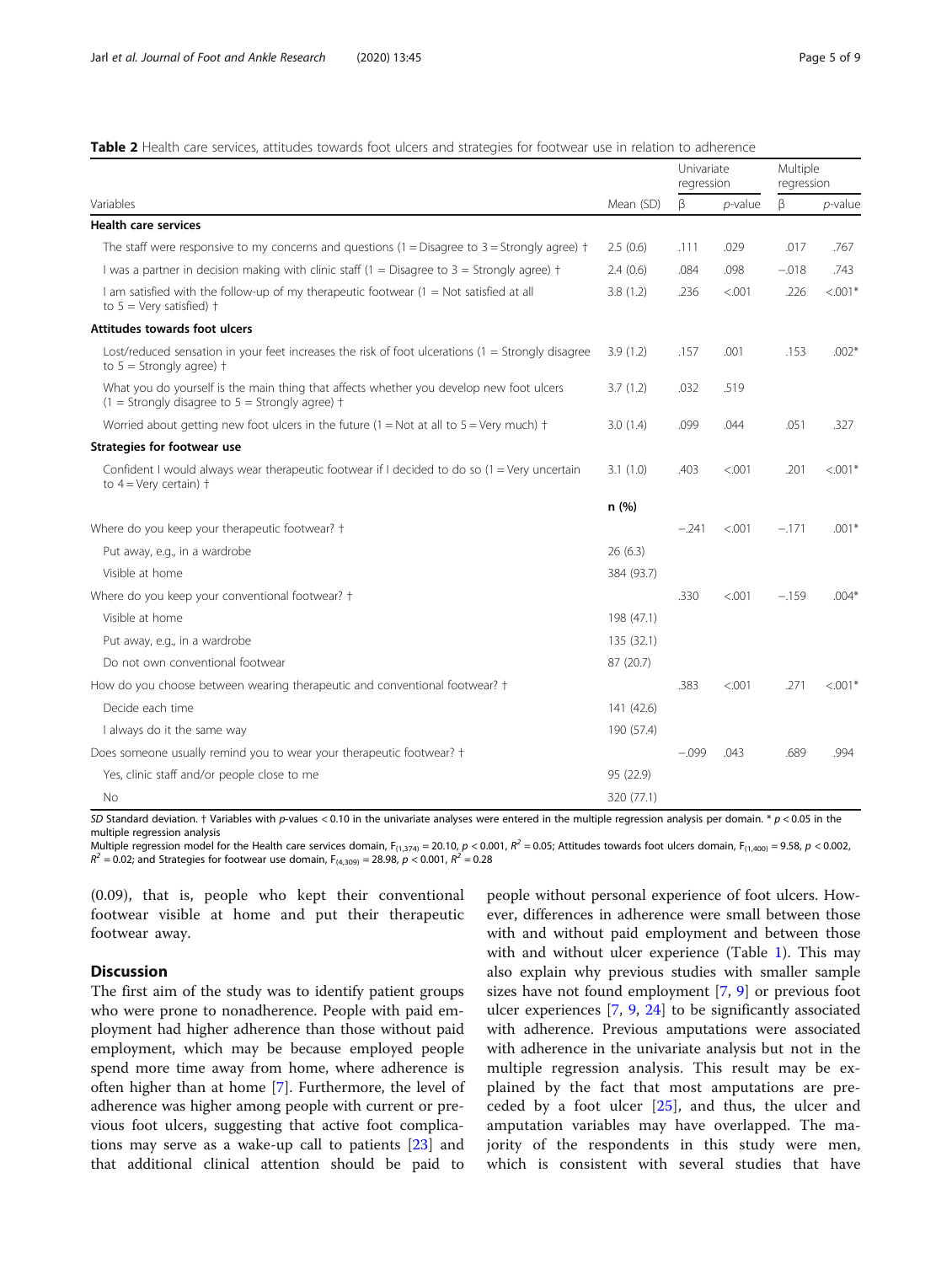## <span id="page-4-0"></span>Table 2 Health care services, attitudes towards foot ulcers and strategies for footwear use in relation to adherence

| Variables                                                                                                                                              |            | Univariate<br>regression |            | Multiple<br>regression |            |
|--------------------------------------------------------------------------------------------------------------------------------------------------------|------------|--------------------------|------------|------------------------|------------|
|                                                                                                                                                        |            | β                        | $p$ -value | $\beta$                | $p$ -value |
| <b>Health care services</b>                                                                                                                            |            |                          |            |                        |            |
| The staff were responsive to my concerns and questions (1 = Disagree to $3$ = Strongly agree) $\dagger$                                                | 2.5(0.6)   | .111                     | .029       | .017                   | .767       |
| I was a partner in decision making with clinic staff $(1 = Disagree$ to $3 = Strongly$ agree) $\dagger$                                                | 2.4(0.6)   | .084                     | .098       | $-.018$                | .743       |
| I am satisfied with the follow-up of my therapeutic footwear $(1 = Not$ satisfied at all<br>to $5 = \text{Very satisfied}$ +                           | 3.8(1.2)   | .236                     | < 0.001    | .226                   | $< 0.001*$ |
| Attitudes towards foot ulcers                                                                                                                          |            |                          |            |                        |            |
| Lost/reduced sensation in your feet increases the risk of foot ulcerations ( $1 =$ Strongly disagree<br>to $5 =$ Strongly agree) $\dagger$             | 3.9(1.2)   | .157                     | .001       | .153                   | $.002*$    |
| What you do yourself is the main thing that affects whether you develop new foot ulcers<br>$(1 =$ Strongly disagree to $5 =$ Strongly agree) $\dagger$ | 3.7(1.2)   | .032                     | .519       |                        |            |
| Worried about getting new foot ulcers in the future (1 = Not at all to $5 =$ Very much) $\dagger$                                                      | 3.0(1.4)   | .099                     | .044       | .051                   | .327       |
| <b>Strategies for footwear use</b>                                                                                                                     |            |                          |            |                        |            |
| Confident I would always wear therapeutic footwear if I decided to do so $(1 = \text{Very}$ uncertain<br>to $4 = \text{Very certain}$ +                | 3.1(1.0)   | .403                     | < 0.001    | .201                   | $< 0.001*$ |
|                                                                                                                                                        | n(%)       |                          |            |                        |            |
| Where do you keep your therapeutic footwear? +                                                                                                         |            | $-.241$                  | < 0.001    | $-.171$                | $.001*$    |
| Put away, e.g., in a wardrobe                                                                                                                          | 26(6.3)    |                          |            |                        |            |
| Visible at home                                                                                                                                        | 384 (93.7) |                          |            |                        |            |
| Where do you keep your conventional footwear? +                                                                                                        |            | .330                     | < .001     | $-.159$                | $.004*$    |
| Visible at home                                                                                                                                        | 198 (47.1) |                          |            |                        |            |
| Put away, e.g., in a wardrobe                                                                                                                          | 135 (32.1) |                          |            |                        |            |
| Do not own conventional footwear                                                                                                                       | 87 (20.7)  |                          |            |                        |            |
| How do you choose between wearing therapeutic and conventional footwear? +                                                                             |            | .383                     | < 0.001    | .271                   | $< 0.01*$  |
| Decide each time                                                                                                                                       | 141 (42.6) |                          |            |                        |            |
| I always do it the same way                                                                                                                            | 190 (57.4) |                          |            |                        |            |
| Does someone usually remind you to wear your therapeutic footwear? †                                                                                   |            | $-.099$                  | .043       | .689                   | .994       |
| Yes, clinic staff and/or people close to me                                                                                                            | 95 (22.9)  |                          |            |                        |            |
| <b>No</b>                                                                                                                                              | 320 (77.1) |                          |            |                        |            |

SD Standard deviation. † Variables with p-values < 0.10 in the univariate analyses were entered in the multiple regression analysis per domain. \*  $p$  < 0.05 in the multiple regression analysis

Multiple regression model for the Health care services domain,  $F_{(1,374)} = 20.10$ ,  $p < 0.001$ ,  $R^2 = 0.05$ ; Attitudes towards foot ulcers domain,  $F_{(1,400)} = 9.58$ ,  $p < 0.002$ ,  $R^2 = 0.02$ ; and Strategies for footwear use domain,  $F_{(4,309)} = 28.98$ ,  $p < 0.001$ ,  $R^2 = 0.28$ 

(0.09), that is, people who kept their conventional footwear visible at home and put their therapeutic footwear away.

## **Discussion**

The first aim of the study was to identify patient groups who were prone to nonadherence. People with paid employment had higher adherence than those without paid employment, which may be because employed people spend more time away from home, where adherence is often higher than at home [\[7\]](#page-7-0). Furthermore, the level of adherence was higher among people with current or previous foot ulcers, suggesting that active foot complications may serve as a wake-up call to patients [\[23\]](#page-7-0) and that additional clinical attention should be paid to

people without personal experience of foot ulcers. However, differences in adherence were small between those with and without paid employment and between those with and without ulcer experience (Table [1\)](#page-3-0). This may also explain why previous studies with smaller sample sizes have not found employment [[7](#page-7-0), [9\]](#page-7-0) or previous foot ulcer experiences [[7,](#page-7-0) [9](#page-7-0), [24\]](#page-7-0) to be significantly associated with adherence. Previous amputations were associated with adherence in the univariate analysis but not in the multiple regression analysis. This result may be explained by the fact that most amputations are preceded by a foot ulcer [[25](#page-8-0)], and thus, the ulcer and amputation variables may have overlapped. The majority of the respondents in this study were men, which is consistent with several studies that have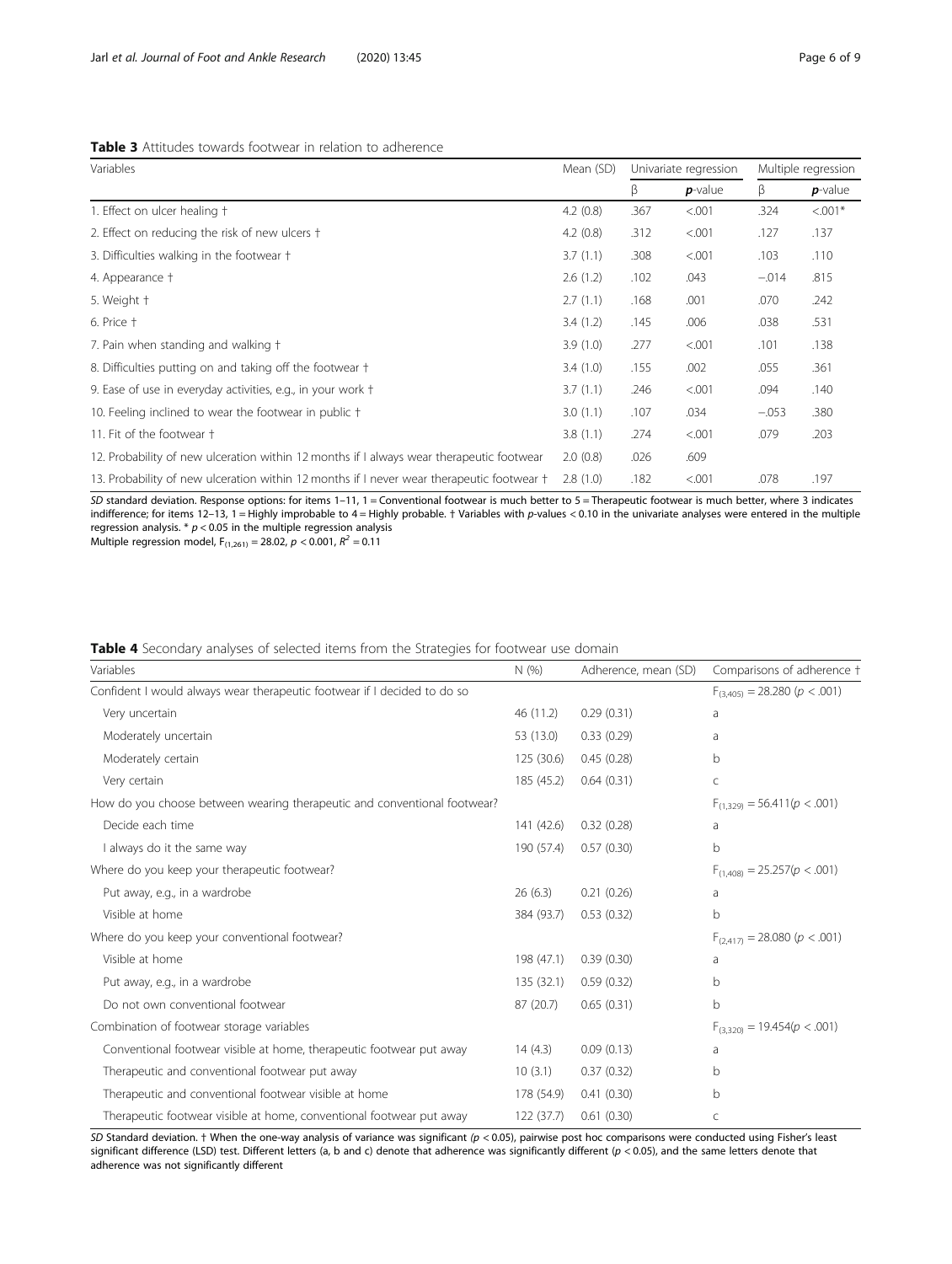## <span id="page-5-0"></span>Table 3 Attitudes towards footwear in relation to adherence

| Variables                                                                                 |          | Univariate regression |            | Multiple regression |            |
|-------------------------------------------------------------------------------------------|----------|-----------------------|------------|---------------------|------------|
|                                                                                           |          | β                     | $p$ -value | β                   | $p$ -value |
| 1. Effect on ulcer healing t                                                              | 4.2(0.8) | .367                  | < .001     | .324                | $< 0.001*$ |
| 2. Effect on reducing the risk of new ulcers t                                            | 4.2(0.8) | .312                  | < .001     | .127                | .137       |
| 3. Difficulties walking in the footwear +                                                 | 3.7(1.1) | .308                  | < .001     | .103                | .110       |
| 4. Appearance +                                                                           | 2.6(1.2) | .102                  | .043       | $-.014$             | .815       |
| 5. Weight +                                                                               | 2.7(1.1) | .168                  | .001       | .070                | .242       |
| 6. Price +                                                                                | 3.4(1.2) | .145                  | .006       | .038                | .531       |
| 7. Pain when standing and walking †                                                       | 3.9(1.0) | .277                  | < .001     | .101                | .138       |
| 8. Difficulties putting on and taking off the footwear +                                  | 3.4(1.0) | .155                  | .002       | .055                | .361       |
| 9. Ease of use in everyday activities, e.g., in your work t                               | 3.7(1.1) | .246                  | < .001     | .094                | .140       |
| 10. Feeling inclined to wear the footwear in public +                                     | 3.0(1.1) | .107                  | .034       | $-.053$             | .380       |
| 11. Fit of the footwear +                                                                 | 3.8(1.1) | .274                  | < .001     | .079                | .203       |
| 12. Probability of new ulceration within 12 months if I always wear therapeutic footwear  | 2.0(0.8) | .026                  | .609       |                     |            |
| 13. Probability of new ulceration within 12 months if I never wear therapeutic footwear † | 2.8(1.0) | .182                  | < .001     | .078                | .197       |

SD standard deviation. Response options: for items 1–11, 1 = Conventional footwear is much better to 5 = Therapeutic footwear is much better, where 3 indicates indifference; for items 12–13, 1 = Highly improbable to 4 = Highly probable. † Variables with p-values < 0.10 in the univariate analyses were entered in the multiple regression analysis.  $* p < 0.05$  in the multiple regression analysis Multiple regression model,  $F_{(1,261)} = 28.02$ ,  $p < 0.001$ ,  $R^2 = 0.11$ 

| Variables                                                                | N(% )      | Adherence, mean (SD) | Comparisons of adherence t        |
|--------------------------------------------------------------------------|------------|----------------------|-----------------------------------|
| Confident I would always wear therapeutic footwear if I decided to do so |            |                      | $F_{(3,405)} = 28.280 (p < .001)$ |
| Very uncertain                                                           | 46 (11.2)  | 0.29(0.31)           | a                                 |
| Moderately uncertain                                                     | 53 (13.0)  | 0.33(0.29)           | a                                 |
| Moderately certain                                                       | 125 (30.6) | 0.45(0.28)           | b                                 |
| Very certain                                                             | 185 (45.2) | 0.64(0.31)           | C                                 |
| How do you choose between wearing therapeutic and conventional footwear? |            |                      | $F_{(1,329)} = 56.411(p < .001)$  |
| Decide each time                                                         | 141 (42.6) | 0.32(0.28)           | a                                 |
| I always do it the same way                                              | 190 (57.4) | 0.57(0.30)           | b                                 |
| Where do you keep your therapeutic footwear?                             |            |                      | $F_{(1,408)} = 25.257(p < .001)$  |
| Put away, e.g., in a wardrobe                                            | 26(6.3)    | 0.21(0.26)           | a                                 |
| Visible at home                                                          | 384 (93.7) | 0.53(0.32)           | b                                 |
| Where do you keep your conventional footwear?                            |            |                      | $F_{(2,417)} = 28.080 (p < .001)$ |
| Visible at home                                                          | 198 (47.1) | 0.39(0.30)           | a                                 |
| Put away, e.g., in a wardrobe                                            | 135 (32.1) | 0.59(0.32)           | b                                 |
| Do not own conventional footwear                                         | 87 (20.7)  | 0.65(0.31)           | b                                 |
| Combination of footwear storage variables                                |            |                      | $F_{(3,320)} = 19.454(p < .001)$  |
| Conventional footwear visible at home, therapeutic footwear put away     | 14(4.3)    | 0.09(0.13)           | a                                 |
| Therapeutic and conventional footwear put away                           | 10(3.1)    | 0.37(0.32)           | b                                 |
| Therapeutic and conventional footwear visible at home                    | 178 (54.9) | 0.41(0.30)           | b                                 |
| Therapeutic footwear visible at home, conventional footwear put away     | 122 (37.7) | 0.61(0.30)           | C                                 |

SD Standard deviation. † When the one-way analysis of variance was significant ( $p < 0.05$ ), pairwise post hoc comparisons were conducted using Fisher's least significant difference (LSD) test. Different letters (a, b and c) denote that adherence was significantly different (p < 0.05), and the same letters denote that adherence was not significantly different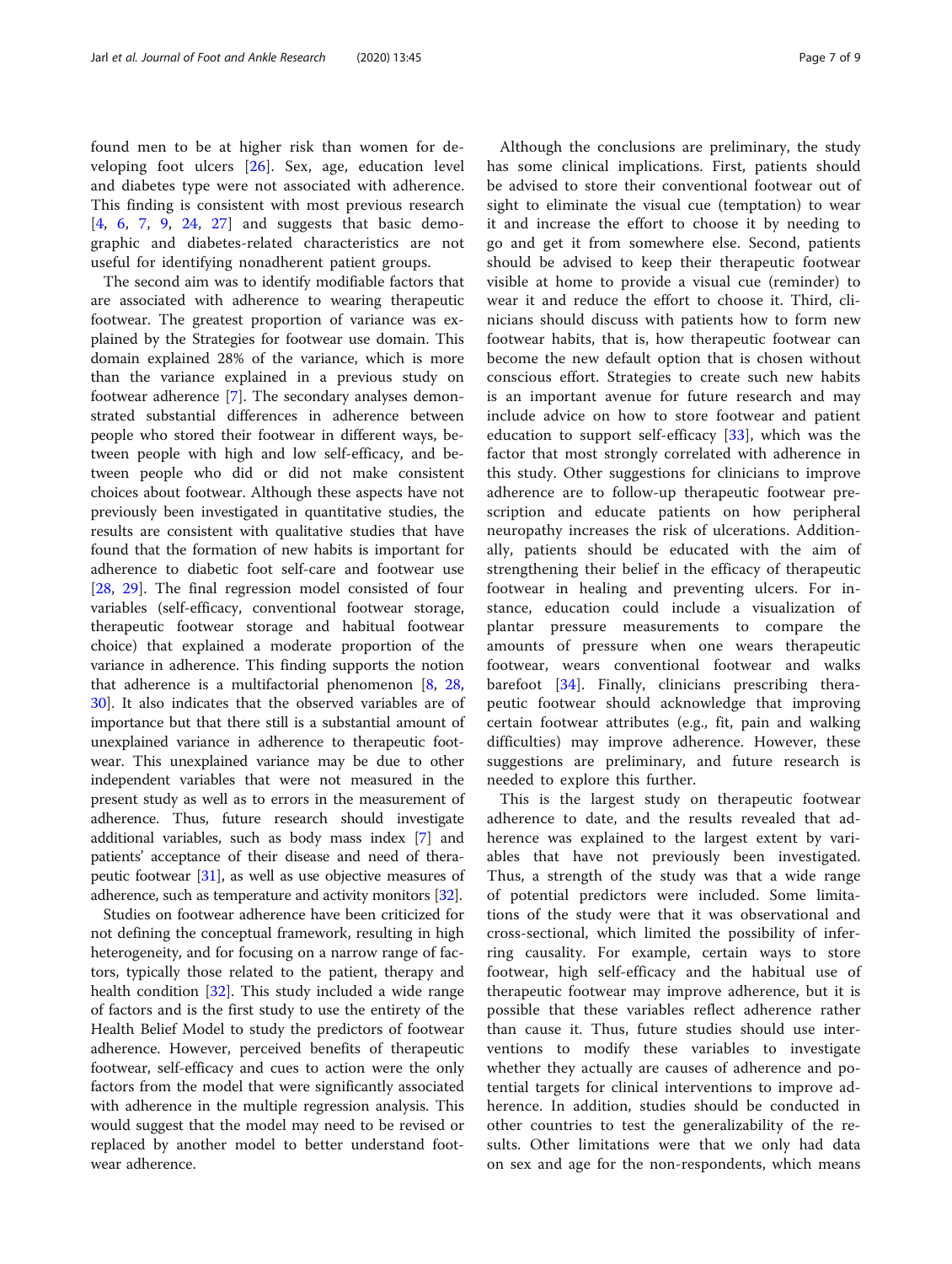found men to be at higher risk than women for developing foot ulcers [\[26](#page-8-0)]. Sex, age, education level and diabetes type were not associated with adherence. This finding is consistent with most previous research [[4,](#page-7-0) [6](#page-7-0), [7,](#page-7-0) [9](#page-7-0), [24,](#page-7-0) [27](#page-8-0)] and suggests that basic demographic and diabetes-related characteristics are not useful for identifying nonadherent patient groups.

The second aim was to identify modifiable factors that are associated with adherence to wearing therapeutic footwear. The greatest proportion of variance was explained by the Strategies for footwear use domain. This domain explained 28% of the variance, which is more than the variance explained in a previous study on footwear adherence [\[7](#page-7-0)]. The secondary analyses demonstrated substantial differences in adherence between people who stored their footwear in different ways, between people with high and low self-efficacy, and between people who did or did not make consistent choices about footwear. Although these aspects have not previously been investigated in quantitative studies, the results are consistent with qualitative studies that have found that the formation of new habits is important for adherence to diabetic foot self-care and footwear use [[28,](#page-8-0) [29\]](#page-8-0). The final regression model consisted of four variables (self-efficacy, conventional footwear storage, therapeutic footwear storage and habitual footwear choice) that explained a moderate proportion of the variance in adherence. This finding supports the notion that adherence is a multifactorial phenomenon [[8,](#page-7-0) [28](#page-8-0), [30\]](#page-8-0). It also indicates that the observed variables are of importance but that there still is a substantial amount of unexplained variance in adherence to therapeutic footwear. This unexplained variance may be due to other independent variables that were not measured in the present study as well as to errors in the measurement of adherence. Thus, future research should investigate additional variables, such as body mass index [\[7](#page-7-0)] and patients' acceptance of their disease and need of therapeutic footwear [\[31](#page-8-0)], as well as use objective measures of adherence, such as temperature and activity monitors [[32](#page-8-0)].

Studies on footwear adherence have been criticized for not defining the conceptual framework, resulting in high heterogeneity, and for focusing on a narrow range of factors, typically those related to the patient, therapy and health condition [[32](#page-8-0)]. This study included a wide range of factors and is the first study to use the entirety of the Health Belief Model to study the predictors of footwear adherence. However, perceived benefits of therapeutic footwear, self-efficacy and cues to action were the only factors from the model that were significantly associated with adherence in the multiple regression analysis. This would suggest that the model may need to be revised or replaced by another model to better understand footwear adherence.

Although the conclusions are preliminary, the study has some clinical implications. First, patients should be advised to store their conventional footwear out of sight to eliminate the visual cue (temptation) to wear it and increase the effort to choose it by needing to go and get it from somewhere else. Second, patients should be advised to keep their therapeutic footwear visible at home to provide a visual cue (reminder) to wear it and reduce the effort to choose it. Third, clinicians should discuss with patients how to form new footwear habits, that is, how therapeutic footwear can become the new default option that is chosen without conscious effort. Strategies to create such new habits is an important avenue for future research and may include advice on how to store footwear and patient education to support self-efficacy [\[33](#page-8-0)], which was the factor that most strongly correlated with adherence in this study. Other suggestions for clinicians to improve adherence are to follow-up therapeutic footwear prescription and educate patients on how peripheral neuropathy increases the risk of ulcerations. Additionally, patients should be educated with the aim of strengthening their belief in the efficacy of therapeutic footwear in healing and preventing ulcers. For instance, education could include a visualization of plantar pressure measurements to compare the amounts of pressure when one wears therapeutic footwear, wears conventional footwear and walks barefoot [[34\]](#page-8-0). Finally, clinicians prescribing therapeutic footwear should acknowledge that improving certain footwear attributes (e.g., fit, pain and walking difficulties) may improve adherence. However, these suggestions are preliminary, and future research is needed to explore this further.

This is the largest study on therapeutic footwear adherence to date, and the results revealed that adherence was explained to the largest extent by variables that have not previously been investigated. Thus, a strength of the study was that a wide range of potential predictors were included. Some limitations of the study were that it was observational and cross-sectional, which limited the possibility of inferring causality. For example, certain ways to store footwear, high self-efficacy and the habitual use of therapeutic footwear may improve adherence, but it is possible that these variables reflect adherence rather than cause it. Thus, future studies should use interventions to modify these variables to investigate whether they actually are causes of adherence and potential targets for clinical interventions to improve adherence. In addition, studies should be conducted in other countries to test the generalizability of the results. Other limitations were that we only had data on sex and age for the non-respondents, which means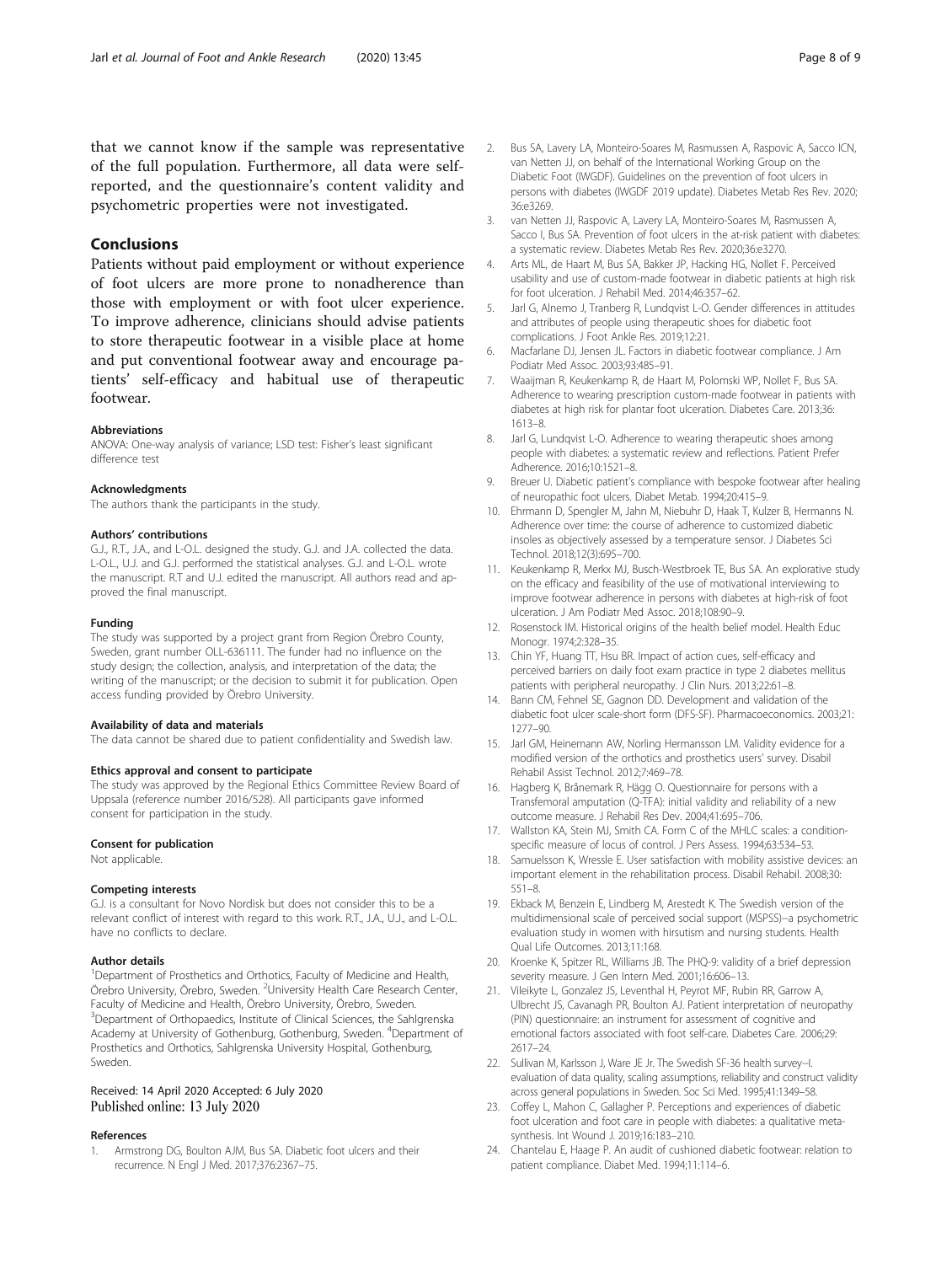<span id="page-7-0"></span>that we cannot know if the sample was representative of the full population. Furthermore, all data were selfreported, and the questionnaire's content validity and psychometric properties were not investigated.

## Conclusions

Patients without paid employment or without experience of foot ulcers are more prone to nonadherence than those with employment or with foot ulcer experience. To improve adherence, clinicians should advise patients to store therapeutic footwear in a visible place at home and put conventional footwear away and encourage patients' self-efficacy and habitual use of therapeutic footwear.

#### Abbreviations

ANOVA: One-way analysis of variance; LSD test: Fisher's least significant difference test

#### Acknowledgments

The authors thank the participants in the study.

#### Authors' contributions

G.J., R.T., J.A., and L-O.L. designed the study. G.J. and J.A. collected the data. L-O.L., U.J. and G.J. performed the statistical analyses. G.J. and L-O.L. wrote the manuscript. R.T and U.J. edited the manuscript. All authors read and approved the final manuscript.

#### Funding

The study was supported by a project grant from Region Örebro County, Sweden, grant number OLL-636111. The funder had no influence on the study design; the collection, analysis, and interpretation of the data; the writing of the manuscript; or the decision to submit it for publication. Open access funding provided by Örebro University.

#### Availability of data and materials

The data cannot be shared due to patient confidentiality and Swedish law.

#### Ethics approval and consent to participate

The study was approved by the Regional Ethics Committee Review Board of Uppsala (reference number 2016/528). All participants gave informed consent for participation in the study.

#### Consent for publication

Not applicable.

## Competing interests

G.J. is a consultant for Novo Nordisk but does not consider this to be a relevant conflict of interest with regard to this work. R.T., J.A., U.J., and L-O.L. have no conflicts to declare.

## Author details

<sup>1</sup>Department of Prosthetics and Orthotics, Faculty of Medicine and Health, Örebro University, Örebro, Sweden. <sup>2</sup>University Health Care Research Center, Faculty of Medicine and Health, Örebro University, Örebro, Sweden. <sup>3</sup>Department of Orthopaedics, Institute of Clinical Sciences, the Sahlgrenska Academy at University of Gothenburg, Gothenburg, Sweden. <sup>4</sup>Department of Prosthetics and Orthotics, Sahlgrenska University Hospital, Gothenburg, Sweden.

## Received: 14 April 2020 Accepted: 6 July 2020 Published online: 13 July 2020

## References

1. Armstrong DG, Boulton AJM, Bus SA. Diabetic foot ulcers and their recurrence. N Engl J Med. 2017;376:2367–75.

- 2. Bus SA, Lavery LA, Monteiro-Soares M, Rasmussen A, Raspovic A, Sacco ICN, van Netten JJ, on behalf of the International Working Group on the Diabetic Foot (IWGDF). Guidelines on the prevention of foot ulcers in persons with diabetes (IWGDF 2019 update). Diabetes Metab Res Rev. 2020; 36:e3269.
- 3. van Netten JJ, Raspovic A, Lavery LA, Monteiro-Soares M, Rasmussen A, Sacco I, Bus SA. Prevention of foot ulcers in the at-risk patient with diabetes: a systematic review. Diabetes Metab Res Rev. 2020;36:e3270.
- 4. Arts ML, de Haart M, Bus SA, Bakker JP, Hacking HG, Nollet F. Perceived usability and use of custom-made footwear in diabetic patients at high risk for foot ulceration. J Rehabil Med. 2014;46:357–62.
- Jarl G, Alnemo J, Tranberg R, Lundqvist L-O. Gender differences in attitudes and attributes of people using therapeutic shoes for diabetic foot complications. J Foot Ankle Res. 2019;12:21.
- 6. Macfarlane DJ, Jensen JL. Factors in diabetic footwear compliance. J Am Podiatr Med Assoc. 2003;93:485–91.
- 7. Waaijman R, Keukenkamp R, de Haart M, Polomski WP, Nollet F, Bus SA. Adherence to wearing prescription custom-made footwear in patients with diabetes at high risk for plantar foot ulceration. Diabetes Care. 2013;36: 1613–8.
- 8. Jarl G, Lundqvist L-O. Adherence to wearing therapeutic shoes among people with diabetes: a systematic review and reflections. Patient Prefer Adherence. 2016;10:1521–8.
- 9. Breuer U. Diabetic patient's compliance with bespoke footwear after healing of neuropathic foot ulcers. Diabet Metab. 1994;20:415–9.
- 10. Ehrmann D, Spengler M, Jahn M, Niebuhr D, Haak T, Kulzer B, Hermanns N. Adherence over time: the course of adherence to customized diabetic insoles as objectively assessed by a temperature sensor. J Diabetes Sci Technol. 2018;12(3):695–700.
- 11. Keukenkamp R, Merkx MJ, Busch-Westbroek TE, Bus SA. An explorative study on the efficacy and feasibility of the use of motivational interviewing to improve footwear adherence in persons with diabetes at high-risk of foot ulceration. J Am Podiatr Med Assoc. 2018;108:90–9.
- 12. Rosenstock IM. Historical origins of the health belief model. Health Educ Monogr. 1974;2:328-35.
- 13. Chin YF, Huang TT, Hsu BR. Impact of action cues, self-efficacy and perceived barriers on daily foot exam practice in type 2 diabetes mellitus patients with peripheral neuropathy. J Clin Nurs. 2013;22:61–8.
- 14. Bann CM, Fehnel SE, Gagnon DD. Development and validation of the diabetic foot ulcer scale-short form (DFS-SF). Pharmacoeconomics. 2003;21: 1277–90.
- 15. Jarl GM, Heinemann AW, Norling Hermansson LM. Validity evidence for a modified version of the orthotics and prosthetics users' survey. Disabil Rehabil Assist Technol. 2012;7:469–78.
- 16. Hagberg K, Brånemark R, Hägg O. Questionnaire for persons with a Transfemoral amputation (Q-TFA): initial validity and reliability of a new outcome measure. J Rehabil Res Dev. 2004;41:695–706.
- 17. Wallston KA, Stein MJ, Smith CA. Form C of the MHLC scales: a conditionspecific measure of locus of control. J Pers Assess. 1994;63:534–53.
- 18. Samuelsson K, Wressle E. User satisfaction with mobility assistive devices: an important element in the rehabilitation process. Disabil Rehabil. 2008;30: 551–8.
- 19. Ekback M, Benzein E, Lindberg M, Arestedt K. The Swedish version of the multidimensional scale of perceived social support (MSPSS)--a psychometric evaluation study in women with hirsutism and nursing students. Health Qual Life Outcomes. 2013;11:168.
- 20. Kroenke K, Spitzer RL, Williams JB. The PHQ-9: validity of a brief depression severity measure. J Gen Intern Med. 2001;16:606–13.
- 21. Vileikyte L, Gonzalez JS, Leventhal H, Peyrot MF, Rubin RR, Garrow A, Ulbrecht JS, Cavanagh PR, Boulton AJ. Patient interpretation of neuropathy (PIN) questionnaire: an instrument for assessment of cognitive and emotional factors associated with foot self-care. Diabetes Care. 2006;29: 2617–24.
- 22. Sullivan M, Karlsson J, Ware JE Jr. The Swedish SF-36 health survey--I. evaluation of data quality, scaling assumptions, reliability and construct validity across general populations in Sweden. Soc Sci Med. 1995;41:1349–58.
- 23. Coffey L, Mahon C, Gallagher P. Perceptions and experiences of diabetic foot ulceration and foot care in people with diabetes: a qualitative metasynthesis. Int Wound J. 2019;16:183–210.
- 24. Chantelau E, Haage P. An audit of cushioned diabetic footwear: relation to patient compliance. Diabet Med. 1994;11:114–6.